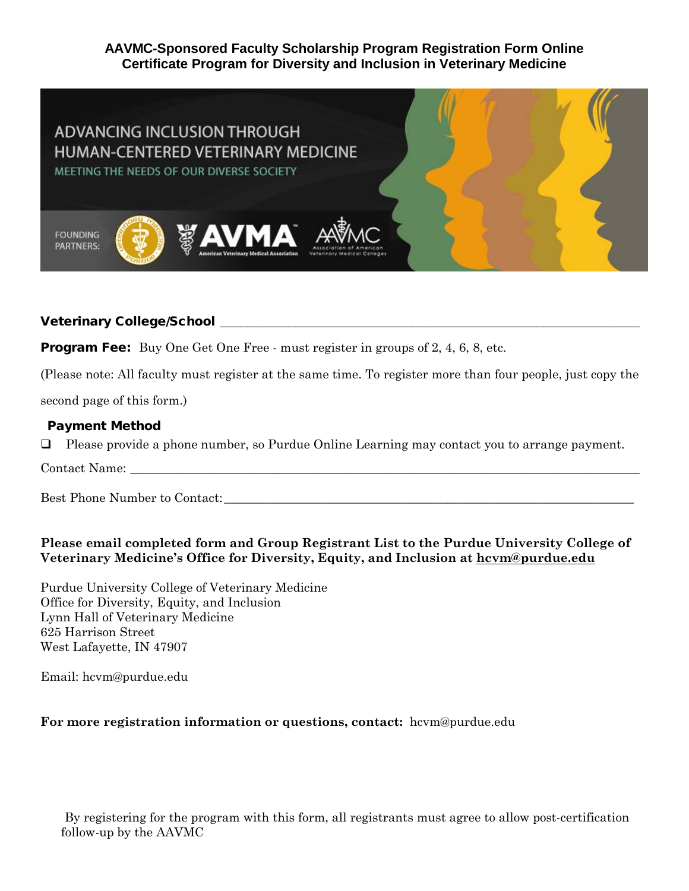## **AAVMC-Sponsored Faculty Scholarship Program Registration Form Online Certificate Program for Diversity and Inclusion in Veterinary Medicine**



# Veterinary College/School **\_\_\_\_\_\_\_\_\_\_\_\_\_\_\_\_\_\_\_\_\_\_\_\_\_\_\_\_\_\_\_\_\_\_\_\_\_\_\_\_\_\_\_\_\_\_\_\_\_\_\_\_\_\_\_\_\_\_\_\_\_**

**Program Fee:** Buy One Get One Free - must register in groups of 2, 4, 6, 8, etc.

(Please note: All faculty must register at the same time. To register more than four people, just copy the

second page of this form.)

#### Payment Method

Please provide a phone number, so Purdue Online Learning may contact you to arrange payment.

Contact Name:

Best Phone Number to Contact:

### **Please email completed form and Group Registrant List to the Purdue University College of Veterinary Medicine's Office for Diversity, Equity, and Inclusion at hcvm@purdue.edu**

Purdue University College of Veterinary Medicine Office for Diversity, Equity, and Inclusion Lynn Hall of Veterinary Medicine 625 Harrison Street West Lafayette, IN 47907

Email: hcvm@purdue.edu

#### **For more registration information or questions, contact:** hcvm@purdue.edu

By registering for the program with this form, all registrants must agree to allow post-certification follow-up by the AAVMC